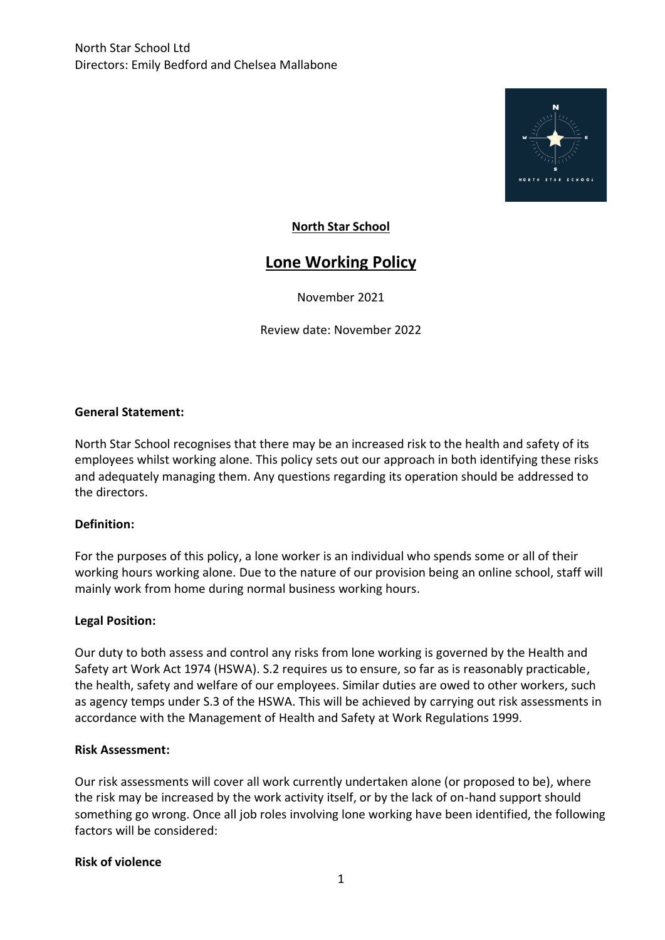

## **North Star School**

# **Lone Working Policy**

November 2021

Review date: November 2022

#### **General Statement:**

North Star School recognises that there may be an increased risk to the health and safety of its employees whilst working alone. This policy sets out our approach in both identifying these risks and adequately managing them. Any questions regarding its operation should be addressed to the directors.

#### **Definition:**

For the purposes of this policy, a lone worker is an individual who spends some or all of their working hours working alone. Due to the nature of our provision being an online school, staff will mainly work from home during normal business working hours.

#### **Legal Position:**

Our duty to both assess and control any risks from lone working is governed by the Health and Safety art Work Act 1974 (HSWA). S.2 requires us to ensure, so far as is reasonably practicable, the health, safety and welfare of our employees. Similar duties are owed to other workers, such as agency temps under S.3 of the HSWA. This will be achieved by carrying out risk assessments in accordance with the Management of Health and Safety at Work Regulations 1999.

#### **Risk Assessment:**

Our risk assessments will cover all work currently undertaken alone (or proposed to be), where the risk may be increased by the work activity itself, or by the lack of on-hand support should something go wrong. Once all job roles involving lone working have been identified, the following factors will be considered:

#### **Risk of violence**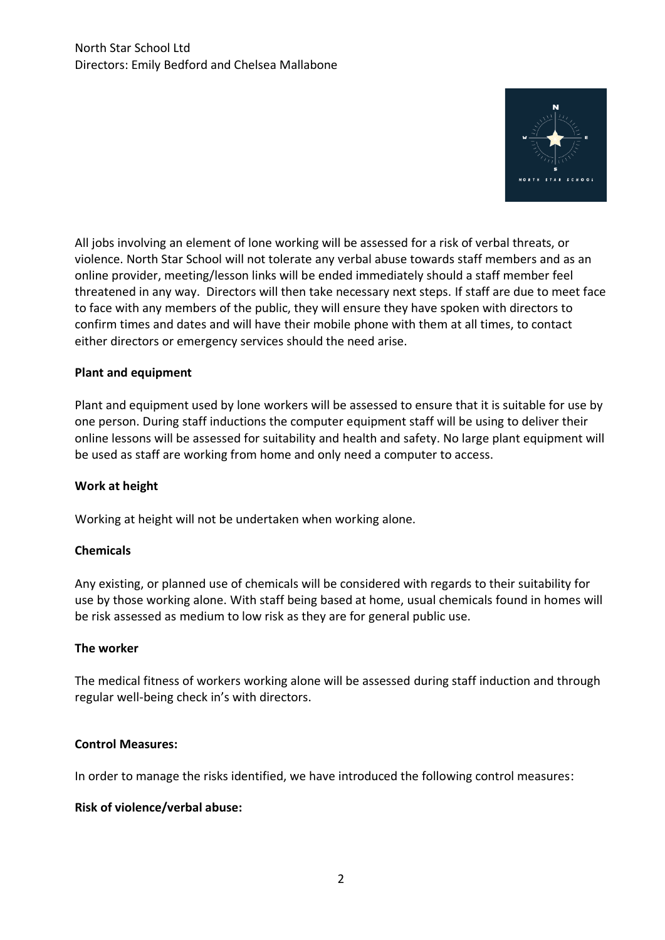

All jobs involving an element of lone working will be assessed for a risk of verbal threats, or violence. North Star School will not tolerate any verbal abuse towards staff members and as an online provider, meeting/lesson links will be ended immediately should a staff member feel threatened in any way. Directors will then take necessary next steps. If staff are due to meet face to face with any members of the public, they will ensure they have spoken with directors to confirm times and dates and will have their mobile phone with them at all times, to contact either directors or emergency services should the need arise.

## **Plant and equipment**

Plant and equipment used by lone workers will be assessed to ensure that it is suitable for use by one person. During staff inductions the computer equipment staff will be using to deliver their online lessons will be assessed for suitability and health and safety. No large plant equipment will be used as staff are working from home and only need a computer to access.

#### **Work at height**

Working at height will not be undertaken when working alone.

#### **Chemicals**

Any existing, or planned use of chemicals will be considered with regards to their suitability for use by those working alone. With staff being based at home, usual chemicals found in homes will be risk assessed as medium to low risk as they are for general public use.

#### **The worker**

The medical fitness of workers working alone will be assessed during staff induction and through regular well-being check in's with directors.

#### **Control Measures:**

In order to manage the risks identified, we have introduced the following control measures:

#### **Risk of violence/verbal abuse:**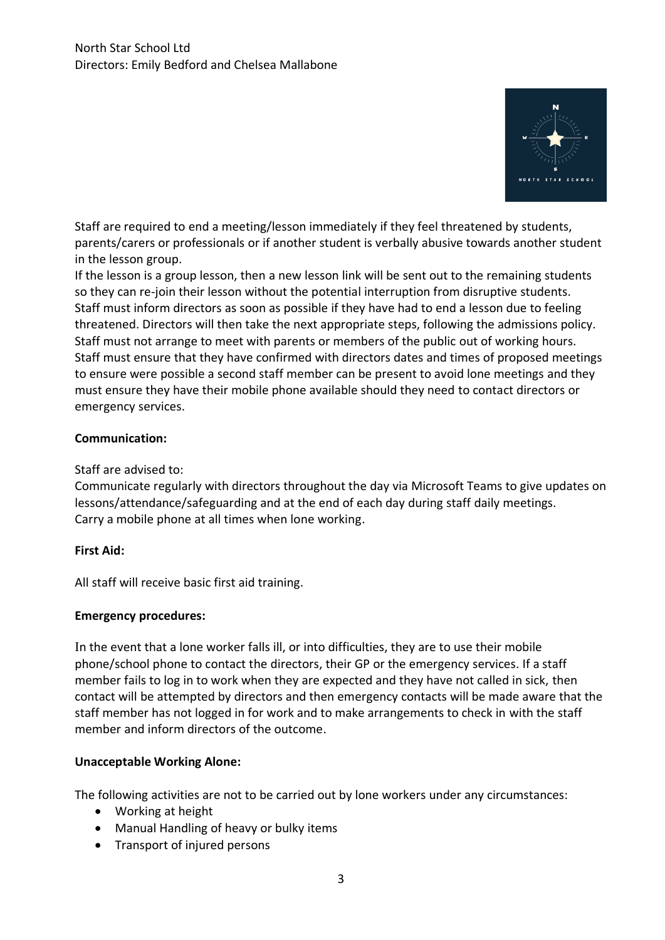

Staff are required to end a meeting/lesson immediately if they feel threatened by students, parents/carers or professionals or if another student is verbally abusive towards another student in the lesson group.

If the lesson is a group lesson, then a new lesson link will be sent out to the remaining students so they can re-join their lesson without the potential interruption from disruptive students. Staff must inform directors as soon as possible if they have had to end a lesson due to feeling threatened. Directors will then take the next appropriate steps, following the admissions policy. Staff must not arrange to meet with parents or members of the public out of working hours. Staff must ensure that they have confirmed with directors dates and times of proposed meetings to ensure were possible a second staff member can be present to avoid lone meetings and they must ensure they have their mobile phone available should they need to contact directors or emergency services.

## **Communication:**

## Staff are advised to:

Communicate regularly with directors throughout the day via Microsoft Teams to give updates on lessons/attendance/safeguarding and at the end of each day during staff daily meetings. Carry a mobile phone at all times when lone working.

## **First Aid:**

All staff will receive basic first aid training.

## **Emergency procedures:**

In the event that a lone worker falls ill, or into difficulties, they are to use their mobile phone/school phone to contact the directors, their GP or the emergency services. If a staff member fails to log in to work when they are expected and they have not called in sick, then contact will be attempted by directors and then emergency contacts will be made aware that the staff member has not logged in for work and to make arrangements to check in with the staff member and inform directors of the outcome.

## **Unacceptable Working Alone:**

The following activities are not to be carried out by lone workers under any circumstances:

- Working at height
- Manual Handling of heavy or bulky items
- Transport of injured persons